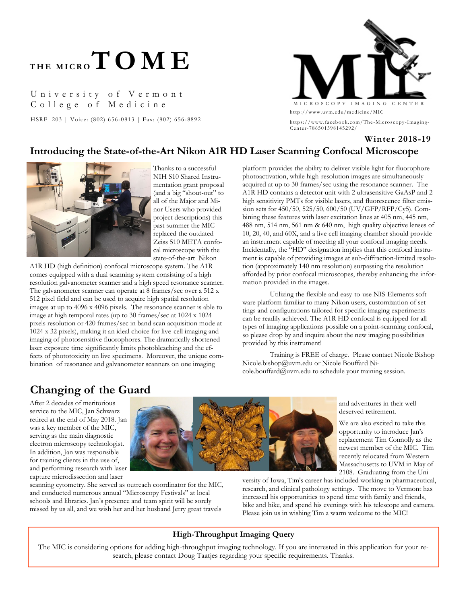# **T H E M I C R O T O M E**

University of Vermont College of Medicine

HSRF 203 | Voice: (802) 656 -0813 | Fax: (802) 656-8892



http://www.uvm.edu/medicine/MIC [https://www.facebook.com/The](https://www.facebook.com/The-Microscopy-Imaging-Center-786501598145292/) -Microscopy -Imaging-[Center-786501598145292/](https://www.facebook.com/The-Microscopy-Imaging-Center-786501598145292/)

**Winter 2018-19**

## **Introducing the State-of-the-Art Nikon A1R HD Laser Scanning Confocal Microscope**



Thanks to a successful NIH S10 Shared Instrumentation grant proposal (and a big "shout-out" to all of the Major and Minor Users who provided project descriptions) this past summer the MIC replaced the outdated Zeiss 510 META confocal microscope with the state-of-the-art Nikon

A1R HD (high definition) confocal microscope system. The A1R comes equipped with a dual scanning system consisting of a high resolution galvanometer scanner and a high speed resonance scanner. The galvanometer scanner can operate at 8 frames/sec over a 512 x 512 pixel field and can be used to acquire high spatial resolution images at up to 4096 x 4096 pixels. The resonance scanner is able to image at high temporal rates (up to 30 frames/sec at 1024 x 1024 pixels resolution or 420 frames/sec in band scan acquisition mode at 1024 x 32 pixels), making it an ideal choice for live-cell imaging and imaging of photosensitive fluorophores. The dramatically shortened laser exposure time significantly limits photobleaching and the effects of phototoxicity on live specimens. Moreover, the unique combination of resonance and galvanometer scanners on one imaging

platform provides the ability to deliver visible light for fluorophore photoactivation, while high-resolution images are simultaneously acquired at up to 30 frames/sec using the resonance scanner. The A1R HD contains a detector unit with 2 ultrasensitive GaAsP and 2 high sensitivity PMTs for visible lasers, and fluorescence filter emission sets for 450/50, 525/50, 600/50 (UV/GFP/RFP/Cy5). Combining these features with laser excitation lines at 405 nm, 445 nm, 488 nm, 514 nm, 561 nm & 640 nm, high quality objective lenses of 10, 20, 40, and 60X, and a live cell imaging chamber should provide an instrument capable of meeting all your confocal imaging needs. Incidentally, the "HD" designation implies that this confocal instrument is capable of providing images at sub-diffraction-limited resolution (approximately 140 nm resolution) surpassing the resolution afforded by prior confocal microscopes, thereby enhancing the information provided in the images.

Utilizing the flexible and easy-to-use NIS-Elements software platform familiar to many Nikon users, customization of settings and configurations tailored for specific imaging experiments can be readily achieved. The A1R HD confocal is equipped for all types of imaging applications possible on a point-scanning confocal, so please drop by and inquire about the new imaging possibilities provided by this instrument!

Training is FREE of charge. Please contact Nicole Bishop Nicole.bishop@uvm.edu or Nicole Bouffard Nicole.bouffard@uvm.edu to schedule your training session.

# **Changing of the Guard**

After 2 decades of meritorious service to the MIC, Jan Schwarz retired at the end of May 2018. Jan was a key member of the MIC, serving as the main diagnostic electron microscopy technologist. In addition, Jan was responsible for training clients in the use of, and performing research with laser capture microdissection and laser

scanning cytometry. She served as outreach coordinator for the MIC, and conducted numerous annual "Microscopy Festivals" at local schools and libraries. Jan's presence and team spirit will be sorely missed by us all, and we wish her and her husband Jerry great travels

deserved retirement.

and adventures in their well-

We are also excited to take this opportunity to introduce Jan's replacement Tim Connolly as the newest member of the MIC. Tim recently relocated from Western Massachusetts to UVM in May of 2108. Graduating from the Uni-

versity of Iowa, Tim's career has included working in pharmaceutical, research, and clinical pathology settings. The move to Vermont has increased his opportunities to spend time with family and friends, bike and hike, and spend his evenings with his telescope and camera. Please join us in wishing Tim a warm welcome to the MIC!

## **High-Throughput Imaging Query**

The MIC is considering options for adding high-throughput imaging technology. If you are interested in this application for your research, please contact Doug Taatjes regarding your specific requirements. Thanks.